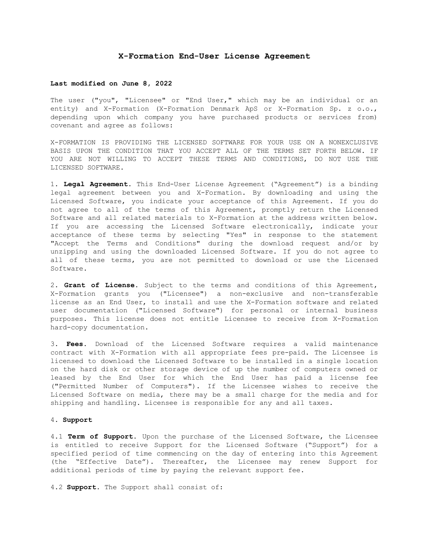### **X-Formation End-User License Agreement**

### **Last modified on June 8, 2022**

The user ("you", "Licensee" or "End User," which may be an individual or an entity) and X-Formation (X-Formation Denmark ApS or X-Formation Sp. z o.o., depending upon which company you have purchased products or services from) covenant and agree as follows:

X-FORMATION IS PROVIDING THE LICENSED SOFTWARE FOR YOUR USE ON A NONEXCLUSIVE BASIS UPON THE CONDITION THAT YOU ACCEPT ALL OF THE TERMS SET FORTH BELOW. IF YOU ARE NOT WILLING TO ACCEPT THESE TERMS AND CONDITIONS, DO NOT USE THE LICENSED SOFTWARE.

1. **Legal Agreement**. This End-User License Agreement ("Agreement") is a binding legal agreement between you and X-Formation. By downloading and using the Licensed Software, you indicate your acceptance of this Agreement. If you do not agree to all of the terms of this Agreement, promptly return the Licensed Software and all related materials to X-Formation at the address written below. If you are accessing the Licensed Software electronically, indicate your acceptance of these terms by selecting "Yes" in response to the statement "Accept the Terms and Conditions" during the download request and/or by unzipping and using the downloaded Licensed Software. If you do not agree to all of these terms, you are not permitted to download or use the Licensed Software.

2. **Grant of License**. Subject to the terms and conditions of this Agreement, X-Formation grants you ("Licensee") a non-exclusive and non-transferable license as an End User, to install and use the X-Formation software and related user documentation ("Licensed Software") for personal or internal business purposes. This license does not entitle Licensee to receive from X-Formation hard-copy documentation.

3. **Fees**. Download of the Licensed Software requires a valid maintenance contract with X-Formation with all appropriate fees pre-paid. The Licensee is licensed to download the Licensed Software to be installed in a single location on the hard disk or other storage device of up the number of computers owned or leased by the End User for which the End User has paid a license fee ("Permitted Number of Computers"). If the Licensee wishes to receive the Licensed Software on media, there may be a small charge for the media and for shipping and handling. Licensee is responsible for any and all taxes.

# 4. **Support**

4.1 **Term of Support.** Upon the purchase of the Licensed Software, the Licensee is entitled to receive Support for the Licensed Software ("Support") for a specified period of time commencing on the day of entering into this Agreement (the "Effective Date"). Thereafter, the Licensee may renew Support for additional periods of time by paying the relevant support fee.

4.2 **Support.** The Support shall consist of: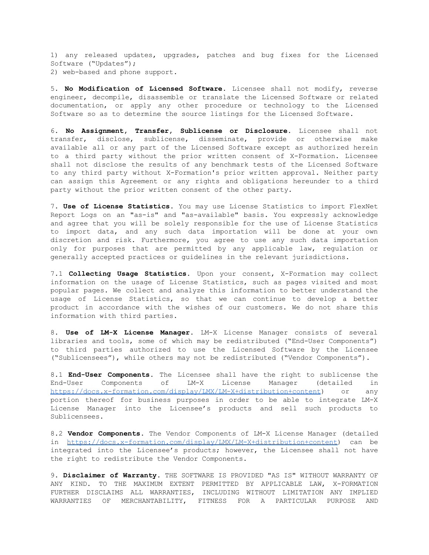1) any released updates, upgrades, patches and bug fixes for the Licensed Software ("Updates"); 2) web-based and phone support.

5. **No Modification of Licensed Software**. Licensee shall not modify, reverse engineer, decompile, disassemble or translate the Licensed Software or related documentation, or apply any other procedure or technology to the Licensed Software so as to determine the source listings for the Licensed Software.

6. **No Assignment, Transfer, Sublicense or Disclosure**. Licensee shall not transfer, disclose, sublicense, disseminate, provide or otherwise make available all or any part of the Licensed Software except as authorized herein to a third party without the prior written consent of X-Formation. Licensee shall not disclose the results of any benchmark tests of the Licensed Software to any third party without X-Formation's prior written approval. Neither party can assign this Agreement or any rights and obligations hereunder to a third party without the prior written consent of the other party.

7. **Use of License Statistics**. You may use License Statistics to import FlexNet Report Logs on an "as-is" and "as-available" basis. You expressly acknowledge and agree that you will be solely responsible for the use of License Statistics to import data, and any such data importation will be done at your own discretion and risk. Furthermore, you agree to use any such data importation only for purposes that are permitted by any applicable law, regulation or generally accepted practices or guidelines in the relevant jurisdictions.

7.1 **Collecting Usage Statistics.** Upon your consent, X-Formation may collect information on the usage of License Statistics, such as pages visited and most popular pages. We collect and analyze this information to better understand the usage of License Statistics, so that we can continue to develop a better product in accordance with the wishes of our customers. We do not share this information with third parties.

8. **Use of LM-X License Manager**. LM-X License Manager consists of several libraries and tools, some of which may be redistributed ("End-User Components") to third parties authorized to use the Licensed Software by the Licensee ("Sublicensees"), while others may not be redistributed ("Vendor Components").

8.1 **End-User Components**. The Licensee shall have the right to sublicense the End-User Components of LM-X License Manager (detailed in <https://docs.x-formation.com/display/LMX/LM-X+distribution+content>) or any portion thereof for business purposes in order to be able to integrate LM-X License Manager into the Licensee's products and sell such products to Sublicensees.

8.2 **Vendor Components**. The Vendor Components of LM-X License Manager (detailed in [https://docs.x-formation.com/display/LMX/LM-X+distribution+content\)](https://docs.x-formation.com/display/LMX/LM-X+distribution+content) can be integrated into the Licensee's products; however, the Licensee shall not have the right to redistribute the Vendor Components.

9. **Disclaimer of Warranty**. THE SOFTWARE IS PROVIDED "AS IS" WITHOUT WARRANTY OF ANY KIND. TO THE MAXIMUM EXTENT PERMITTED BY APPLICABLE LAW, X-FORMATION FURTHER DISCLAIMS ALL WARRANTIES, INCLUDING WITHOUT LIMITATION ANY IMPLIED WARRANTIES OF MERCHANTABILITY, FITNESS FOR A PARTICULAR PURPOSE AND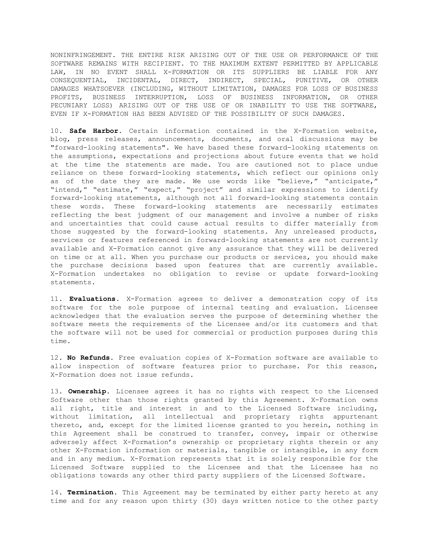NONINFRINGEMENT. THE ENTIRE RISK ARISING OUT OF THE USE OR PERFORMANCE OF THE SOFTWARE REMAINS WITH RECIPIENT. TO THE MAXIMUM EXTENT PERMITTED BY APPLICABLE LAW, IN NO EVENT SHALL X-FORMATION OR ITS SUPPLIERS BE LIABLE FOR ANY CONSEQUENTIAL, INCIDENTAL, DIRECT, INDIRECT, SPECIAL, PUNITIVE, OR OTHER DAMAGES WHATSOEVER (INCLUDING, WITHOUT LIMITATION, DAMAGES FOR LOSS OF BUSINESS PROFITS, BUSINESS INTERRUPTION, LOSS OF BUSINESS INFORMATION, OR OTHER PECUNIARY LOSS) ARISING OUT OF THE USE OF OR INABILITY TO USE THE SOFTWARE, EVEN IF X-FORMATION HAS BEEN ADVISED OF THE POSSIBILITY OF SUCH DAMAGES.

10. **Safe Harbor**. Certain information contained in the X-Formation website, blog, press releases, announcements, documents, and oral discussions may be "forward-looking statements". We have based these forward-looking statements on the assumptions, expectations and projections about future events that we hold at the time the statements are made. You are cautioned not to place undue reliance on these forward-looking statements, which reflect our opinions only as of the date they are made. We use words like "believe," "anticipate," "intend," "estimate," "expect," "project" and similar expressions to identify forward-looking statements, although not all forward-looking statements contain these words. These forward-looking statements are necessarily estimates reflecting the best judgment of our management and involve a number of risks and uncertainties that could cause actual results to differ materially from those suggested by the forward-looking statements. Any unreleased products, services or features referenced in forward-looking statements are not currently available and X-Formation cannot give any assurance that they will be delivered on time or at all. When you purchase our products or services, you should make the purchase decisions based upon features that are currently available. X-Formation undertakes no obligation to revise or update forward-looking statements.

11. **Evaluations**. X-Formation agrees to deliver a demonstration copy of its software for the sole purpose of internal testing and evaluation. Licensee acknowledges that the evaluation serves the purpose of determining whether the software meets the requirements of the Licensee and/or its customers and that the software will not be used for commercial or production purposes during this time.

12. **No Refunds**. Free evaluation copies of X-Formation software are available to allow inspection of software features prior to purchase. For this reason, X-Formation does not issue refunds.

13. **Ownership**. Licensee agrees it has no rights with respect to the Licensed Software other than those rights granted by this Agreement. X-Formation owns all right, title and interest in and to the Licensed Software including, without limitation, all intellectual and proprietary rights appurtenant thereto, and, except for the limited license granted to you herein, nothing in this Agreement shall be construed to transfer, convey, impair or otherwise adversely affect X-Formation's ownership or proprietary rights therein or any other X-Formation information or materials, tangible or intangible, in any form and in any medium. X-Formation represents that it is solely responsible for the Licensed Software supplied to the Licensee and that the Licensee has no obligations towards any other third party suppliers of the Licensed Software.

14. **Termination**. This Agreement may be terminated by either party hereto at any time and for any reason upon thirty (30) days written notice to the other party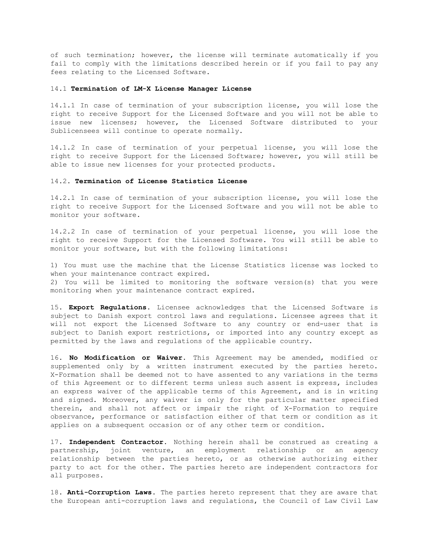of such termination; however, the license will terminate automatically if you fail to comply with the limitations described herein or if you fail to pay any fees relating to the Licensed Software.

## 14.1 **Termination of LM-X License Manager License**

14.1.1 In case of termination of your subscription license, you will lose the right to receive Support for the Licensed Software and you will not be able to issue new licenses; however, the Licensed Software distributed to your Sublicensees will continue to operate normally.

14.1.2 In case of termination of your perpetual license, you will lose the right to receive Support for the Licensed Software; however, you will still be able to issue new licenses for your protected products.

## 14.2. **Termination of License Statistics License**

14.2.1 In case of termination of your subscription license, you will lose the right to receive Support for the Licensed Software and you will not be able to monitor your software.

14.2.2 In case of termination of your perpetual license, you will lose the right to receive Support for the Licensed Software. You will still be able to monitor your software, but with the following limitations:

1) You must use the machine that the License Statistics license was locked to when your maintenance contract expired.

2) You will be limited to monitoring the software version(s) that you were monitoring when your maintenance contract expired.

15. **Export Regulations**. Licensee acknowledges that the Licensed Software is subject to Danish export control laws and regulations. Licensee agrees that it will not export the Licensed Software to any country or end-user that is subject to Danish export restrictions, or imported into any country except as permitted by the laws and regulations of the applicable country.

16. **No Modification or Waiver**. This Agreement may be amended, modified or supplemented only by a written instrument executed by the parties hereto. X-Formation shall be deemed not to have assented to any variations in the terms of this Agreement or to different terms unless such assent is express, includes an express waiver of the applicable terms of this Agreement, and is in writing and signed. Moreover, any waiver is only for the particular matter specified therein, and shall not affect or impair the right of X-Formation to require observance, performance or satisfaction either of that term or condition as it applies on a subsequent occasion or of any other term or condition.

17. **Independent Contractor**. Nothing herein shall be construed as creating a partnership, joint venture, an employment relationship or an agency relationship between the parties hereto, or as otherwise authorizing either party to act for the other. The parties hereto are independent contractors for all purposes.

18. **Anti-Corruption Laws**. The parties hereto represent that they are aware that the European anti-corruption laws and regulations, the Council of Law Civil Law